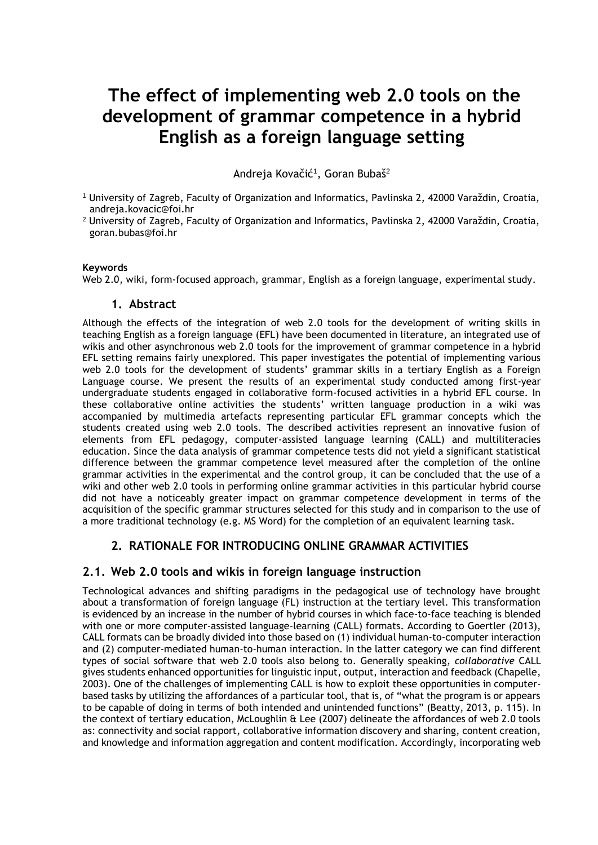# **The effect of implementing web 2.0 tools on the development of grammar competence in a hybrid English as a foreign language setting**

Andreja Kovačić<sup>1</sup>, Goran Bubaš<sup>2</sup>

- <sup>1</sup> University of Zagreb, Faculty of Organization and Informatics, Pavlinska 2, 42000 Varaždin, Croatia, andreja.kovacic@foi.hr
- <sup>2</sup> University of Zagreb, Faculty of Organization and Informatics, Pavlinska 2, 42000 Varaždin, Croatia, goran.bubas@foi.hr

#### **Keywords**

Web 2.0, wiki, form-focused approach, grammar, English as a foreign language, experimental study.

#### **1. Abstract**

Although the effects of the integration of web 2.0 tools for the development of writing skills in teaching English as a foreign language (EFL) have been documented in literature, an integrated use of wikis and other asynchronous web 2.0 tools for the improvement of grammar competence in a hybrid EFL setting remains fairly unexplored. This paper investigates the potential of implementing various web 2.0 tools for the development of students' grammar skills in a tertiary English as a Foreign Language course. We present the results of an experimental study conducted among first-year undergraduate students engaged in collaborative form-focused activities in a hybrid EFL course. In these collaborative online activities the students' written language production in a wiki was accompanied by multimedia artefacts representing particular EFL grammar concepts which the students created using web 2.0 tools. The described activities represent an innovative fusion of elements from EFL pedagogy, computer-assisted language learning (CALL) and multiliteracies education. Since the data analysis of grammar competence tests did not yield a significant statistical difference between the grammar competence level measured after the completion of the online grammar activities in the experimental and the control group, it can be concluded that the use of a wiki and other web 2.0 tools in performing online grammar activities in this particular hybrid course did not have a noticeably greater impact on grammar competence development in terms of the acquisition of the specific grammar structures selected for this study and in comparison to the use of a more traditional technology (e.g. MS Word) for the completion of an equivalent learning task.

#### **2. RATIONALE FOR INTRODUCING ONLINE GRAMMAR ACTIVITIES**

#### **2.1. Web 2.0 tools and wikis in foreign language instruction**

Technological advances and shifting paradigms in the pedagogical use of technology have brought about a transformation of foreign language (FL) instruction at the tertiary level. This transformation is evidenced by an increase in the number of hybrid courses in which face-to-face teaching is blended with one or more computer-assisted language-learning (CALL) formats. According to Goertler (2013), CALL formats can be broadly divided into those based on (1) individual human-to-computer interaction and (2) computer-mediated human-to-human interaction. In the latter category we can find different types of social software that web 2.0 tools also belong to. Generally speaking, *collaborative* CALL gives students enhanced opportunities for linguistic input, output, interaction and feedback (Chapelle, 2003). One of the challenges of implementing CALL is how to exploit these opportunities in computerbased tasks by utilizing the affordances of a particular tool, that is, of "what the program is or appears to be capable of doing in terms of both intended and unintended functions" (Beatty, 2013, p. 115). In the context of tertiary education, McLoughlin & Lee (2007) delineate the affordances of web 2.0 tools as: connectivity and social rapport, collaborative information discovery and sharing, content creation, and knowledge and information aggregation and content modification. Accordingly, incorporating web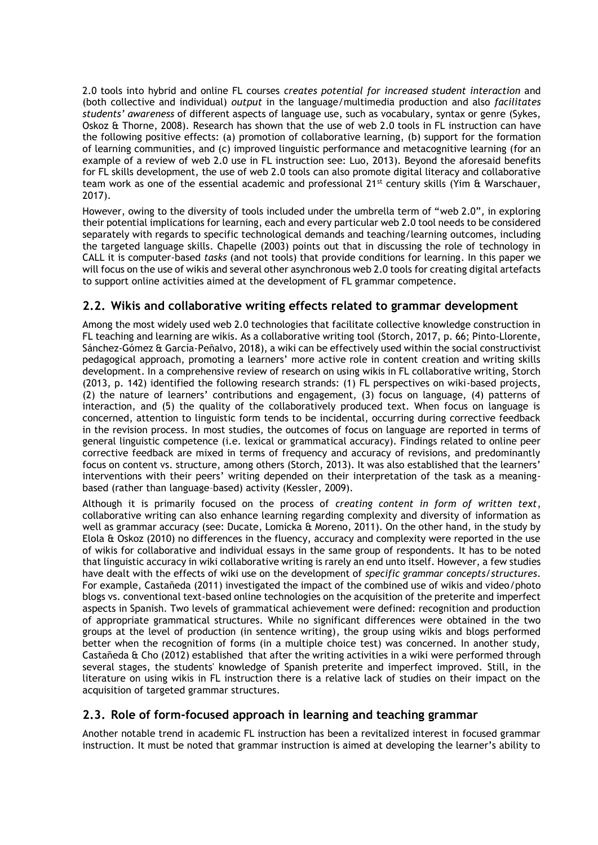2.0 tools into hybrid and online FL courses *creates potential for increased student interaction* and (both collective and individual) *output* in the language/multimedia production and also *facilitates students' awareness* of different aspects of language use, such as vocabulary, syntax or genre (Sykes, Oskoz & Thorne, 2008). Research has shown that the use of web 2.0 tools in FL instruction can have the following positive effects: (a) promotion of collaborative learning, (b) support for the formation of learning communities, and (c) improved linguistic performance and metacognitive learning (for an example of a review of web 2.0 use in FL instruction see: Luo, 2013). Beyond the aforesaid benefits for FL skills development, the use of web 2.0 tools can also promote digital literacy and collaborative team work as one of the essential academic and professional 21<sup>st</sup> century skills (Yim & Warschauer, 2017).

However, owing to the diversity of tools included under the umbrella term of "web 2.0", in exploring their potential implications for learning, each and every particular web 2.0 tool needs to be considered separately with regards to specific technological demands and teaching/learning outcomes, including the targeted language skills. Chapelle (2003) points out that in discussing the role of technology in CALL it is computer-based *tasks* (and not tools) that provide conditions for learning. In this paper we will focus on the use of wikis and several other asynchronous web 2.0 tools for creating digital artefacts to support online activities aimed at the development of FL grammar competence.

# **2.2. Wikis and collaborative writing effects related to grammar development**

Among the most widely used web 2.0 technologies that facilitate collective knowledge construction in FL teaching and learning are wikis. As a collaborative writing tool (Storch, 2017, p. 66; Pinto-Llorente, Sánchez-Gómez & García-Peñalvo, 2018), a wiki can be effectively used within the social constructivist pedagogical approach, promoting a learners' more active role in content creation and writing skills development. In a comprehensive review of research on using wikis in FL collaborative writing, Storch (2013, p. 142) identified the following research strands: (1) FL perspectives on wiki-based projects, (2) the nature of learners' contributions and engagement, (3) focus on language, (4) patterns of interaction, and (5) the quality of the collaboratively produced text. When focus on language is concerned, attention to linguistic form tends to be incidental, occurring during corrective feedback in the revision process. In most studies, the outcomes of focus on language are reported in terms of general linguistic competence (i.e. lexical or grammatical accuracy). Findings related to online peer corrective feedback are mixed in terms of frequency and accuracy of revisions, and predominantly focus on content vs. structure, among others (Storch, 2013). It was also established that the learners' interventions with their peers' writing depended on their interpretation of the task as a meaningbased (rather than language–based) activity (Kessler, 2009).

Although it is primarily focused on the process of *creating content in form of written text*, collaborative writing can also enhance learning regarding complexity and diversity of information as well as grammar accuracy (see: Ducate, Lomicka & Moreno, 2011). On the other hand, in the study by Elola & Oskoz (2010) no differences in the fluency, accuracy and complexity were reported in the use of wikis for collaborative and individual essays in the same group of respondents. It has to be noted that linguistic accuracy in wiki collaborative writing is rarely an end unto itself. However, a few studies have dealt with the effects of wiki use on the development of *specific grammar concepts/structures*. For example, Castañeda (2011) investigated the impact of the combined use of wikis and video/photo blogs vs. conventional text-based online technologies on the acquisition of the preterite and imperfect aspects in Spanish. Two levels of grammatical achievement were defined: recognition and production of appropriate grammatical structures. While no significant differences were obtained in the two groups at the level of production (in sentence writing), the group using wikis and blogs performed better when the recognition of forms (in a multiple choice test) was concerned. In another study, Castañeda & Cho (2012) established that after the writing activities in a wiki were performed through several stages, the students' knowledge of Spanish preterite and imperfect improved. Still, in the literature on using wikis in FL instruction there is a relative lack of studies on their impact on the acquisition of targeted grammar structures.

# **2.3. Role of form-focused approach in learning and teaching grammar**

Another notable trend in academic FL instruction has been a revitalized interest in focused grammar instruction. It must be noted that grammar instruction is aimed at developing the learner's ability to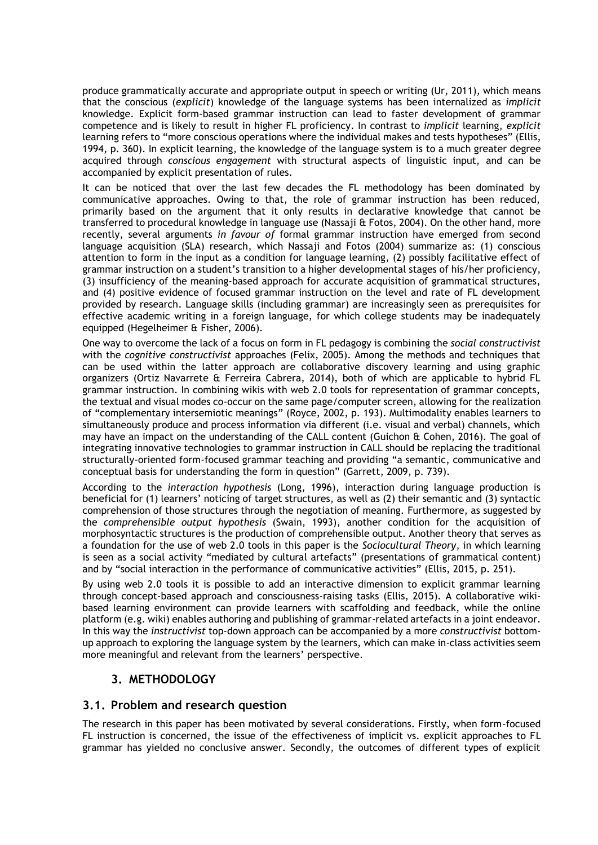produce grammatically accurate and appropriate output in speech or writing (Ur, 2011), which means that the conscious (*explicit*) knowledge of the language systems has been internalized as *implicit* knowledge. Explicit form-based grammar instruction can lead to faster development of grammar competence and is likely to result in higher FL proficiency. In contrast to *implicit* learning, *explicit* learning refers to "more conscious operations where the individual makes and tests hypotheses" (Ellis, 1994, p. 360). In explicit learning, the knowledge of the language system is to a much greater degree acquired through *conscious engagement* with structural aspects of linguistic input, and can be accompanied by explicit presentation of rules.

It can be noticed that over the last few decades the FL methodology has been dominated by communicative approaches. Owing to that, the role of grammar instruction has been reduced, primarily based on the argument that it only results in declarative knowledge that cannot be transferred to procedural knowledge in language use (Nassaji & Fotos, 2004). On the other hand, more recently, several arguments *in favour of* formal grammar instruction have emerged from second language acquisition (SLA) research, which Nassaji and Fotos (2004) summarize as: (1) conscious attention to form in the input as a condition for language learning, (2) possibly facilitative effect of grammar instruction on a student's transition to a higher developmental stages of his/her proficiency, (3) insufficiency of the meaning-based approach for accurate acquisition of grammatical structures, and (4) positive evidence of focused grammar instruction on the level and rate of FL development provided by research. Language skills (including grammar) are increasingly seen as prerequisites for effective academic writing in a foreign language, for which college students may be inadequately equipped (Hegelheimer & Fisher, 2006).

One way to overcome the lack of a focus on form in FL pedagogy is combining the *social constructivist* with the *cognitive constructivist* approaches (Felix, 2005). Among the methods and techniques that can be used within the latter approach are collaborative discovery learning and using graphic organizers (Ortiz Navarrete & Ferreira Cabrera, 2014), both of which are applicable to hybrid FL grammar instruction. In combining wikis with web 2.0 tools for representation of grammar concepts, the textual and visual modes co-occur on the same page/computer screen, allowing for the realization of "complementary intersemiotic meanings" (Royce, 2002, p. 193). Multimodality enables learners to simultaneously produce and process information via different (i.e. visual and verbal) channels, which may have an impact on the understanding of the CALL content (Guichon & Cohen, 2016). The goal of integrating innovative technologies to grammar instruction in CALL should be replacing the traditional structurally-oriented form-focused grammar teaching and providing "a semantic, communicative and conceptual basis for understanding the form in question" (Garrett, 2009, p. 739).

According to the *interaction hypothesis* (Long, 1996), interaction during language production is beneficial for (1) learners' noticing of target structures, as well as (2) their semantic and (3) syntactic comprehension of those structures through the negotiation of meaning. Furthermore, as suggested by the *comprehensible output hypothesis* (Swain, 1993), another condition for the acquisition of morphosyntactic structures is the production of comprehensible output. Another theory that serves as a foundation for the use of web 2.0 tools in this paper is the *Sociocultural Theory*, in which learning is seen as a social activity "mediated by cultural artefacts" (presentations of grammatical content) and by "social interaction in the performance of communicative activities" (Ellis, 2015, p. 251).

By using web 2.0 tools it is possible to add an interactive dimension to explicit grammar learning through concept-based approach and consciousness-raising tasks (Ellis, 2015). A collaborative wikibased learning environment can provide learners with scaffolding and feedback, while the online platform (e.g. wiki) enables authoring and publishing of grammar-related artefacts in a joint endeavor. In this way the *instructivist* top-down approach can be accompanied by a more *constructivist* bottomup approach to exploring the language system by the learners, which can make in-class activities seem more meaningful and relevant from the learners' perspective.

# **3. METHODOLOGY**

#### **3.1. Problem and research question**

The research in this paper has been motivated by several considerations. Firstly, when form-focused FL instruction is concerned, the issue of the effectiveness of implicit vs. explicit approaches to FL grammar has yielded no conclusive answer. Secondly, the outcomes of different types of explicit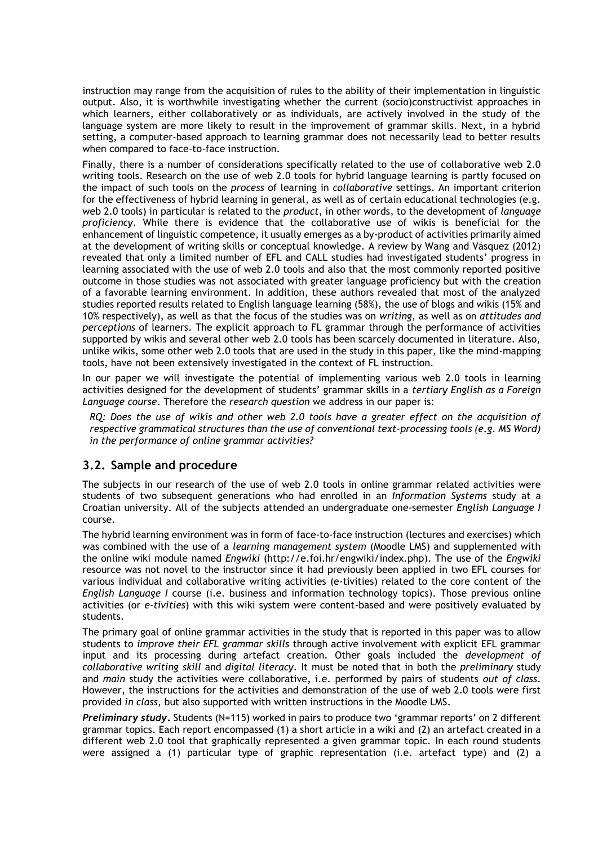instruction may range from the acquisition of rules to the ability of their implementation in linguistic output. Also, it is worthwhile investigating whether the current (socio)constructivist approaches in which learners, either collaboratively or as individuals, are actively involved in the study of the language system are more likely to result in the improvement of grammar skills. Next, in a hybrid setting, a computer-based approach to learning grammar does not necessarily lead to better results when compared to face-to-face instruction.

Finally, there is a number of considerations specifically related to the use of collaborative web 2.0 writing tools. Research on the use of web 2.0 tools for hybrid language learning is partly focused on the impact of such tools on the *process* of learning in *collaborative* settings. An important criterion for the effectiveness of hybrid learning in general, as well as of certain educational technologies (e.g. web 2.0 tools) in particular is related to the *product*, in other words, to the development of *language proficiency*. While there is evidence that the collaborative use of wikis is beneficial for the enhancement of linguistic competence, it usually emerges as a by-product of activities primarily aimed at the development of writing skills or conceptual knowledge. A review by Wang and Vásquez (2012) revealed that only a limited number of EFL and CALL studies had investigated students' progress in learning associated with the use of web 2.0 tools and also that the most commonly reported positive outcome in those studies was not associated with greater language proficiency but with the creation of a favorable learning environment. In addition, these authors revealed that most of the analyzed studies reported results related to English language learning (58%), the use of blogs and wikis (15% and 10% respectively), as well as that the focus of the studies was on *writing*, as well as on *attitudes and perceptions* of learners. The explicit approach to FL grammar through the performance of activities supported by wikis and several other web 2.0 tools has been scarcely documented in literature. Also, unlike wikis, some other web 2.0 tools that are used in the study in this paper, like the mind-mapping tools, have not been extensively investigated in the context of FL instruction.

In our paper we will investigate the potential of implementing various web 2.0 tools in learning activities designed for the development of students' grammar skills in a *tertiary English as a Foreign Language course*. Therefore the *research question* we address in our paper is:

*RQ: Does the use of wikis and other web 2.0 tools have a greater effect on the acquisition of respective grammatical structures than the use of conventional text-processing tools (e.g. MS Word) in the performance of online grammar activities?*

# **3.2. Sample and procedure**

The subjects in our research of the use of web 2.0 tools in online grammar related activities were students of two subsequent generations who had enrolled in an *Information Systems* study at a Croatian university. All of the subjects attended an undergraduate one-semester *English Language I*  course.

The hybrid learning environment was in form of face-to-face instruction (lectures and exercises) which was combined with the use of a *learning management system* (Moodle LMS) and supplemented with the online wiki module named *Engwiki* (http://e.foi.hr/engwiki/index.php). The use of the *Engwiki* resource was not novel to the instructor since it had previously been applied in two EFL courses for various individual and collaborative writing activities (e-tivities) related to the core content of the *English Language I* course (i.e. business and information technology topics). Those previous online activities (or *e-tivities*) with this wiki system were content-based and were positively evaluated by students.

The primary goal of online grammar activities in the study that is reported in this paper was to allow students to *improve their EFL grammar skills* through active involvement with explicit EFL grammar input and its processing during artefact creation. Other goals included the *development of collaborative writing skill* and *digital literacy*. It must be noted that in both the *preliminary* study and *main* study the activities were collaborative, i.e. performed by pairs of students *out of class*. However, the instructions for the activities and demonstration of the use of web 2.0 tools were first provided *in class*, but also supported with written instructions in the Moodle LMS.

*Preliminary study***.** Students (N=115) worked in pairs to produce two 'grammar reports' on 2 different grammar topics. Each report encompassed (1) a short article in a wiki and (2) an artefact created in a different web 2.0 tool that graphically represented a given grammar topic. In each round students were assigned a (1) particular type of graphic representation (i.e. artefact type) and (2) a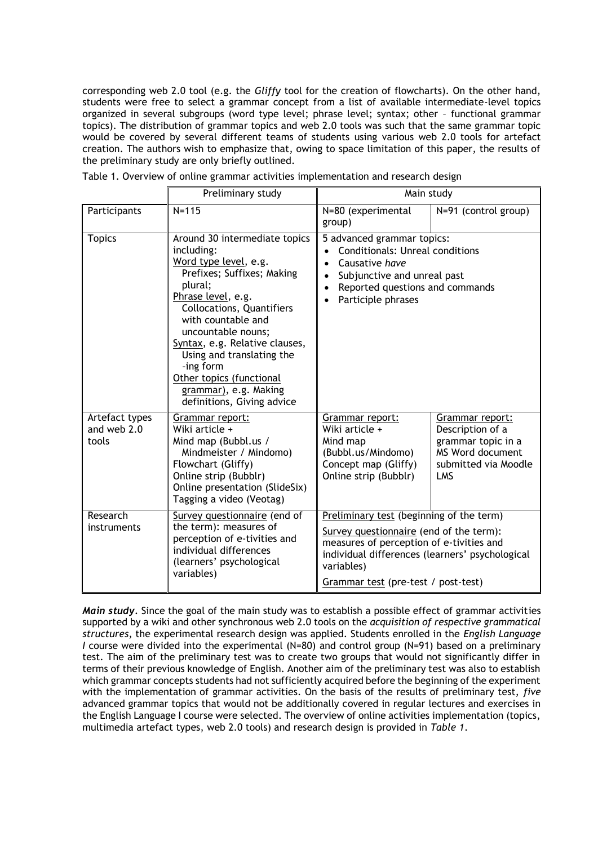corresponding web 2.0 tool (e.g. the *Gliffy* tool for the creation of flowcharts). On the other hand, students were free to select a grammar concept from a list of available intermediate-level topics organized in several subgroups (word type level; phrase level; syntax; other – functional grammar topics). The distribution of grammar topics and web 2.0 tools was such that the same grammar topic would be covered by several different teams of students using various web 2.0 tools for artefact creation. The authors wish to emphasize that, owing to space limitation of this paper, the results of the preliminary study are only briefly outlined.

|                                        | Preliminary study                                                                                                                                                                                                                                                                                                                                                                  | Main study                                                                                                                                                                                                                              |                                                                                                                     |  |  |
|----------------------------------------|------------------------------------------------------------------------------------------------------------------------------------------------------------------------------------------------------------------------------------------------------------------------------------------------------------------------------------------------------------------------------------|-----------------------------------------------------------------------------------------------------------------------------------------------------------------------------------------------------------------------------------------|---------------------------------------------------------------------------------------------------------------------|--|--|
| Participants                           | $N = 115$                                                                                                                                                                                                                                                                                                                                                                          | N=80 (experimental<br>group)                                                                                                                                                                                                            | N=91 (control group)                                                                                                |  |  |
| <b>Topics</b>                          | Around 30 intermediate topics<br>including:<br>Word type level, e.g.<br>Prefixes; Suffixes; Making<br>plural;<br>Phrase level, e.g.<br><b>Collocations, Quantifiers</b><br>with countable and<br>uncountable nouns;<br>Syntax, e.g. Relative clauses,<br>Using and translating the<br>-ing form<br>Other topics (functional<br>grammar), e.g. Making<br>definitions, Giving advice | 5 advanced grammar topics:<br><b>Conditionals: Unreal conditions</b><br>Causative have<br>$\bullet$<br>Subjunctive and unreal past<br>$\bullet$<br>Reported questions and commands<br>Participle phrases                                |                                                                                                                     |  |  |
| Artefact types<br>and web 2.0<br>tools | Grammar report:<br>Wiki article +<br>Mind map (Bubbl.us /<br>Mindmeister / Mindomo)<br>Flowchart (Gliffy)<br>Online strip (Bubblr)<br>Online presentation (SlideSix)<br>Tagging a video (Veotag)                                                                                                                                                                                   | Grammar report:<br>Wiki article +<br>Mind map<br>(Bubbl.us/Mindomo)<br>Concept map (Gliffy)<br>Online strip (Bubblr)                                                                                                                    | Grammar report:<br>Description of a<br>grammar topic in a<br><b>MS Word document</b><br>submitted via Moodle<br>LMS |  |  |
| Research<br>instruments                | Survey questionnaire (end of<br>the term): measures of<br>perception of e-tivities and<br>individual differences<br>(learners' psychological<br>variables)                                                                                                                                                                                                                         | Preliminary test (beginning of the term)<br>Survey questionnaire (end of the term):<br>measures of perception of e-tivities and<br>individual differences (learners' psychological<br>variables)<br>Grammar test (pre-test / post-test) |                                                                                                                     |  |  |

Table 1. Overview of online grammar activities implementation and research design

*Main study.* Since the goal of the main study was to establish a possible effect of grammar activities supported by a wiki and other synchronous web 2.0 tools on the *acquisition of respective grammatical structures*, the experimental research design was applied. Students enrolled in the *English Language I* course were divided into the experimental (N=80) and control group (N=91) based on a preliminary test. The aim of the preliminary test was to create two groups that would not significantly differ in terms of their previous knowledge of English. Another aim of the preliminary test was also to establish which grammar concepts students had not sufficiently acquired before the beginning of the experiment with the implementation of grammar activities. On the basis of the results of preliminary test, *five* advanced grammar topics that would not be additionally covered in regular lectures and exercises in the English Language I course were selected. The overview of online activities implementation (topics, multimedia artefact types, web 2.0 tools) and research design is provided in *Table 1*.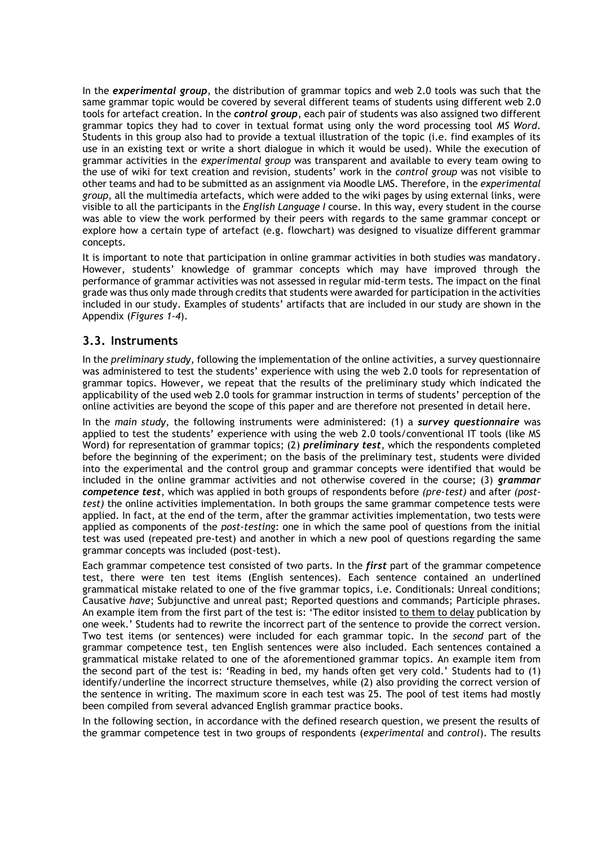In the *experimental group*, the distribution of grammar topics and web 2.0 tools was such that the same grammar topic would be covered by several different teams of students using different web 2.0 tools for artefact creation. In the *control group*, each pair of students was also assigned two different grammar topics they had to cover in textual format using only the word processing tool *MS Word*. Students in this group also had to provide a textual illustration of the topic (i.e. find examples of its use in an existing text or write a short dialogue in which it would be used). While the execution of grammar activities in the *experimental group* was transparent and available to every team owing to the use of wiki for text creation and revision, students' work in the *control group* was not visible to other teams and had to be submitted as an assignment via Moodle LMS. Therefore, in the *experimental group*, all the multimedia artefacts, which were added to the wiki pages by using external links, were visible to all the participants in the *English Language I* course. In this way, every student in the course was able to view the work performed by their peers with regards to the same grammar concept or explore how a certain type of artefact (e.g. flowchart) was designed to visualize different grammar concepts.

It is important to note that participation in online grammar activities in both studies was mandatory. However, students' knowledge of grammar concepts which may have improved through the performance of grammar activities was not assessed in regular mid-term tests. The impact on the final grade was thus only made through credits that students were awarded for participation in the activities included in our study. Examples of students' artifacts that are included in our study are shown in the Appendix (*Figures 1-4*).

## **3.3. Instruments**

In the *preliminary study*, following the implementation of the online activities, a survey questionnaire was administered to test the students' experience with using the web 2.0 tools for representation of grammar topics. However, we repeat that the results of the preliminary study which indicated the applicability of the used web 2.0 tools for grammar instruction in terms of students' perception of the online activities are beyond the scope of this paper and are therefore not presented in detail here.

In the *main study*, the following instruments were administered: (1) a *survey questionnaire* was applied to test the students' experience with using the web 2.0 tools/conventional IT tools (like MS Word) for representation of grammar topics; (2) *preliminary test*, which the respondents completed before the beginning of the experiment; on the basis of the preliminary test, students were divided into the experimental and the control group and grammar concepts were identified that would be included in the online grammar activities and not otherwise covered in the course; (3) *grammar competence test*, which was applied in both groups of respondents before *(pre-test)* and after *(posttest)* the online activities implementation. In both groups the same grammar competence tests were applied. In fact, at the end of the term, after the grammar activities implementation, two tests were applied as components of the *post-testing*: one in which the same pool of questions from the initial test was used (repeated pre-test) and another in which a new pool of questions regarding the same grammar concepts was included (post-test).

Each grammar competence test consisted of two parts. In the *first* part of the grammar competence test, there were ten test items (English sentences). Each sentence contained an underlined grammatical mistake related to one of the five grammar topics, i.e. Conditionals: Unreal conditions; Causative *have*; Subjunctive and unreal past; Reported questions and commands; Participle phrases. An example item from the first part of the test is: 'The editor insisted to them to delay publication by one week.' Students had to rewrite the incorrect part of the sentence to provide the correct version. Two test items (or sentences) were included for each grammar topic. In the *second* part of the grammar competence test, ten English sentences were also included. Each sentences contained a grammatical mistake related to one of the aforementioned grammar topics. An example item from the second part of the test is: 'Reading in bed, my hands often get very cold.' Students had to (1) identify/underline the incorrect structure themselves, while (2) also providing the correct version of the sentence in writing. The maximum score in each test was 25. The pool of test items had mostly been compiled from several advanced English grammar practice books.

In the following section, in accordance with the defined research question, we present the results of the grammar competence test in two groups of respondents (*experimental* and *control*). The results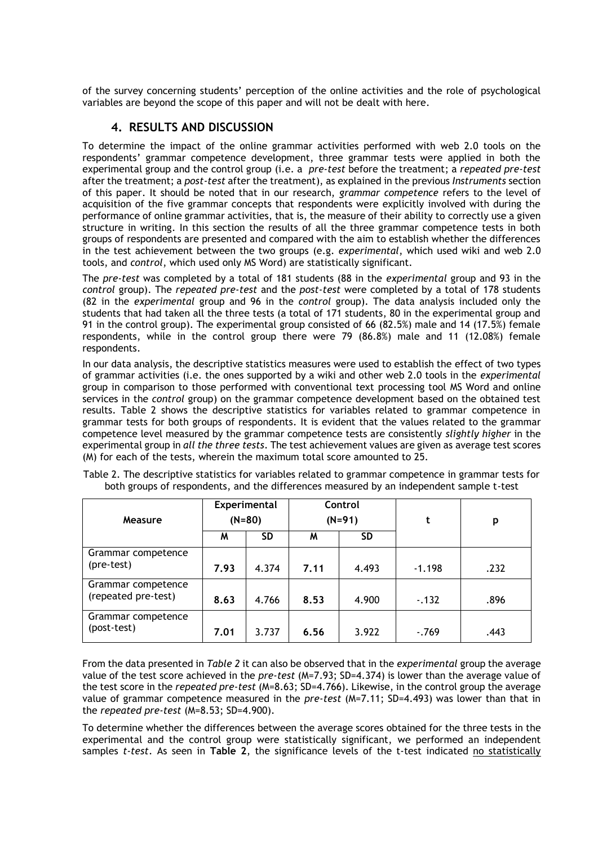of the survey concerning students' perception of the online activities and the role of psychological variables are beyond the scope of this paper and will not be dealt with here.

# **4. RESULTS AND DISCUSSION**

To determine the impact of the online grammar activities performed with web 2.0 tools on the respondents' grammar competence development, three grammar tests were applied in both the experimental group and the control group (i.e. a *pre-test* before the treatment; a *repeated pre-test* after the treatment; a *post-test* after the treatment), as explained in the previous *Instruments* section of this paper. It should be noted that in our research, *grammar competence* refers to the level of acquisition of the five grammar concepts that respondents were explicitly involved with during the performance of online grammar activities, that is, the measure of their ability to correctly use a given structure in writing. In this section the results of all the three grammar competence tests in both groups of respondents are presented and compared with the aim to establish whether the differences in the test achievement between the two groups (e.g. *experimental*, which used wiki and web 2.0 tools, and *control*, which used only MS Word) are statistically significant.

The *pre-test* was completed by a total of 181 students (88 in the *experimental* group and 93 in the *control* group). The *repeated pre-test* and the *post-test* were completed by a total of 178 students (82 in the *experimental* group and 96 in the *control* group). The data analysis included only the students that had taken all the three tests (a total of 171 students, 80 in the experimental group and 91 in the control group). The experimental group consisted of 66 (82.5%) male and 14 (17.5%) female respondents, while in the control group there were 79 (86.8%) male and 11 (12.08%) female respondents.

In our data analysis, the descriptive statistics measures were used to establish the effect of two types of grammar activities (i.e. the ones supported by a wiki and other web 2.0 tools in the *experimental* group in comparison to those performed with conventional text processing tool MS Word and online services in the *control* group) on the grammar competence development based on the obtained test results. Table 2 shows the descriptive statistics for variables related to grammar competence in grammar tests for both groups of respondents. It is evident that the values related to the grammar competence level measured by the grammar competence tests are consistently *slightly higher* in the experimental group in *all the three tests*. The test achievement values are given as average test scores (M) for each of the tests, wherein the maximum total score amounted to 25.

| Measure                                   | Experimental<br>$(N=80)$ |           | Control<br>$(N=91)$ |       | t        | p    |
|-------------------------------------------|--------------------------|-----------|---------------------|-------|----------|------|
|                                           | M                        | <b>SD</b> | M                   | SD    |          |      |
| Grammar competence<br>(pre-test)          | 7.93                     | 4.374     | 7.11                | 4.493 | $-1.198$ | .232 |
| Grammar competence<br>(repeated pre-test) | 8.63                     | 4.766     | 8.53                | 4.900 | $-132$   | .896 |
| Grammar competence<br>(post-test)         | 7.01                     | 3.737     | 6.56                | 3.922 | $-769$   | .443 |

Table 2. The descriptive statistics for variables related to grammar competence in grammar tests for both groups of respondents, and the differences measured by an independent sample t-test

From the data presented in *Table 2* it can also be observed that in the *experimental* group the average value of the test score achieved in the *pre-test* (M=7.93; SD=4.374) is lower than the average value of the test score in the *repeated pre-test* (M=8.63; SD=4.766). Likewise, in the control group the average value of grammar competence measured in the *pre-test* (M=7.11; SD=4.493) was lower than that in the *repeated pre-test* (M=8.53; SD=4.900).

To determine whether the differences between the average scores obtained for the three tests in the experimental and the control group were statistically significant, we performed an independent samples *t-test*. As seen in **Table 2**, the significance levels of the t-test indicated no statistically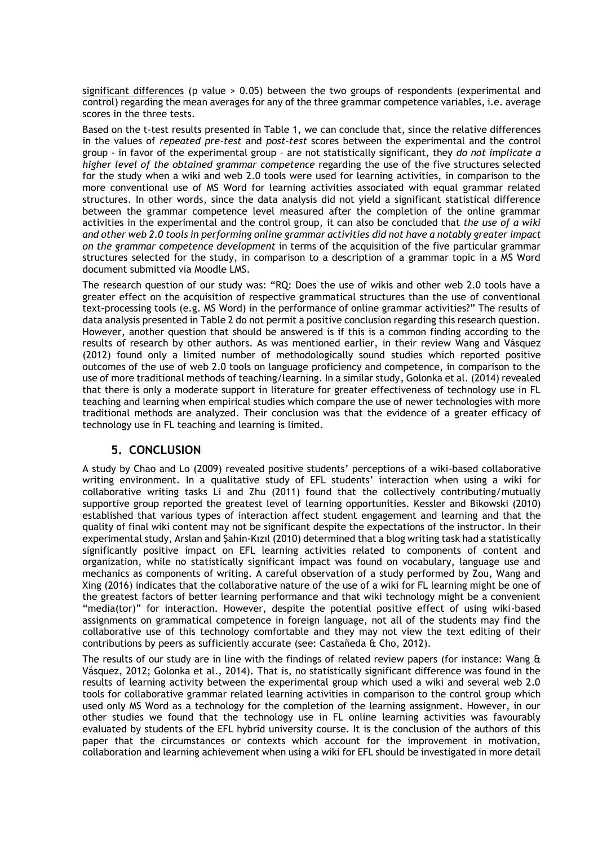significant differences (p value  $> 0.05$ ) between the two groups of respondents (experimental and control) regarding the mean averages for any of the three grammar competence variables, i.e. average scores in the three tests.

Based on the t-test results presented in Table 1, we can conclude that, since the relative differences in the values of *repeated pre-test* and *post-test* scores between the experimental and the control group - in favor of the experimental group – are not statistically significant, they *do not implicate a higher level of the obtained grammar competence* regarding the use of the five structures selected for the study when a wiki and web 2.0 tools were used for learning activities, in comparison to the more conventional use of MS Word for learning activities associated with equal grammar related structures. In other words, since the data analysis did not yield a significant statistical difference between the grammar competence level measured after the completion of the online grammar activities in the experimental and the control group, it can also be concluded that *the use of a wiki and other web 2.0 tools in performing online grammar activities did not have a notably greater impact on the grammar competence development* in terms of the acquisition of the five particular grammar structures selected for the study, in comparison to a description of a grammar topic in a MS Word document submitted via Moodle LMS.

The research question of our study was: "RQ: Does the use of wikis and other web 2.0 tools have a greater effect on the acquisition of respective grammatical structures than the use of conventional text-processing tools (e.g. MS Word) in the performance of online grammar activities?" The results of data analysis presented in Table 2 do not permit a positive conclusion regarding this research question. However, another question that should be answered is if this is a common finding according to the results of research by other authors. As was mentioned earlier, in their review Wang and Vásquez (2012) found only a limited number of methodologically sound studies which reported positive outcomes of the use of web 2.0 tools on language proficiency and competence, in comparison to the use of more traditional methods of teaching/learning. In a similar study, Golonka et al. (2014) revealed that there is only a moderate support in literature for greater effectiveness of technology use in FL teaching and learning when empirical studies which compare the use of newer technologies with more traditional methods are analyzed. Their conclusion was that the evidence of a greater efficacy of technology use in FL teaching and learning is limited.

#### **5. CONCLUSION**

A study by Chao and Lo (2009) revealed positive students' perceptions of a wiki-based collaborative writing environment. In a qualitative study of EFL students' interaction when using a wiki for collaborative writing tasks Li and Zhu (2011) found that the collectively contributing/mutually supportive group reported the greatest level of learning opportunities. Kessler and Bikowski (2010) established that various types of interaction affect student engagement and learning and that the quality of final wiki content may not be significant despite the expectations of the instructor. In their experimental study, Arslan and Şahin-Kızıl (2010) determined that a blog writing task had a statistically significantly positive impact on EFL learning activities related to components of content and organization, while no statistically significant impact was found on vocabulary, language use and mechanics as components of writing. A careful observation of a study performed by Zou, Wang and Xing (2016) indicates that the collaborative nature of the use of a wiki for FL learning might be one of the greatest factors of better learning performance and that wiki technology might be a convenient "media(tor)" for interaction. However, despite the potential positive effect of using wiki-based assignments on grammatical competence in foreign language, not all of the students may find the collaborative use of this technology comfortable and they may not view the text editing of their contributions by peers as sufficiently accurate (see: Castañeda & Cho, 2012).

The results of our study are in line with the findings of related review papers (for instance: Wang & Vásquez, 2012; Golonka et al., 2014). That is, no statistically significant difference was found in the results of learning activity between the experimental group which used a wiki and several web 2.0 tools for collaborative grammar related learning activities in comparison to the control group which used only MS Word as a technology for the completion of the learning assignment. However, in our other studies we found that the technology use in FL online learning activities was favourably evaluated by students of the EFL hybrid university course. It is the conclusion of the authors of this paper that the circumstances or contexts which account for the improvement in motivation, collaboration and learning achievement when using a wiki for EFL should be investigated in more detail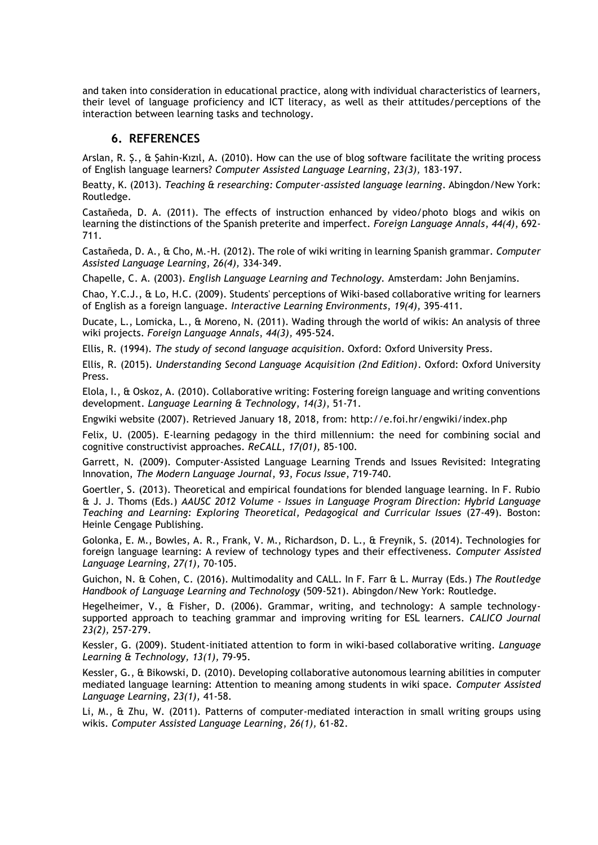and taken into consideration in educational practice, along with individual characteristics of learners, their level of language proficiency and ICT literacy, as well as their attitudes/perceptions of the interaction between learning tasks and technology.

## **6. REFERENCES**

Arslan, R. Ş., & Şahin-Kızıl, A. (2010). How can the use of blog software facilitate the writing process of English language learners? *Computer Assisted Language Learning*, *23(3),* 183-197.

Beatty, K. (2013). *Teaching & researching: Computer-assisted language learning*. Abingdon/New York: Routledge.

Castañeda, D. A. (2011). The effects of instruction enhanced by video/photo blogs and wikis on learning the distinctions of the Spanish preterite and imperfect. *Foreign Language Annals*, *44(4)*, 692- 711.

Castañeda, D. A., & Cho, M.-H. (2012). The role of wiki writing in learning Spanish grammar. *Computer Assisted Language Learning*, *26(4),* 334-349.

Chapelle, C. A. (2003). *English Language Learning and Technology.* Amsterdam: John Benjamins.

Chao, Y.C.J., & Lo, H.C. (2009). Students' perceptions of Wiki-based collaborative writing for learners of English as a foreign language. *Interactive Learning Environments*, *19(4),* 395-411.

Ducate, L., Lomicka, L., & Moreno, N. (2011). Wading through the world of wikis: An analysis of three wiki projects. *Foreign Language Annals*, *44(3),* 495-524.

Ellis, R. (1994). *The study of second language acquisition*. Oxford: Oxford University Press.

Ellis, R. (2015). *Understanding Second Language Acquisition (2nd Edition)*. Oxford: Oxford University Press.

Elola, I., & Oskoz, A. (2010). Collaborative writing: Fostering foreign language and writing conventions development. *Language Learning & Technology*, *14(3)*, 51-71.

Engwiki website (2007). Retrieved January 18, 2018, from: http://e.foi.hr/engwiki/index.php

Felix, U. (2005). E-learning pedagogy in the third millennium: the need for combining social and cognitive constructivist approaches. *ReCALL*, *17(01),* 85-100.

Garrett, N. (2009). Computer-Assisted Language Learning Trends and Issues Revisited: Integrating Innovation, *The Modern Language Journal*, *93*, *Focus Issue*, 719-740.

Goertler, S. (2013). Theoretical and empirical foundations for blended language learning. In F. Rubio & J. J. Thoms (Eds.) *AAUSC 2012 Volume - Issues in Language Program Direction: Hybrid Language Teaching and Learning: Exploring Theoretical, Pedagogical and Curricular Issues* (27-49). Boston: Heinle Cengage Publishing.

Golonka, E. M., Bowles, A. R., Frank, V. M., Richardson, D. L., & Freynik, S. (2014). Technologies for foreign language learning: A review of technology types and their effectiveness. *Computer Assisted Language Learning*, *27(1),* 70-105.

Guichon, N. & Cohen, C. (2016). Multimodality and CALL. In F. Farr & L. Murray (Eds.) *The Routledge Handbook of Language Learning and Technology* (509-521). Abingdon/New York: Routledge.

Hegelheimer, V., & Fisher, D. (2006). Grammar, writing, and technology: A sample technologysupported approach to teaching grammar and improving writing for ESL learners. *CALICO Journal 23(2),* 257-279.

Kessler, G. (2009). Student-initiated attention to form in wiki-based collaborative writing. *Language Learning & Technology, 13(1),* 79-95.

Kessler, G., & Bikowski, D. (2010). Developing collaborative autonomous learning abilities in computer mediated language learning: Attention to meaning among students in wiki space. *Computer Assisted Language Learning*, *23(1),* 41-58.

Li, M., & Zhu, W. (2011). Patterns of computer-mediated interaction in small writing groups using wikis. *Computer Assisted Language Learning*, *26(1),* 61-82.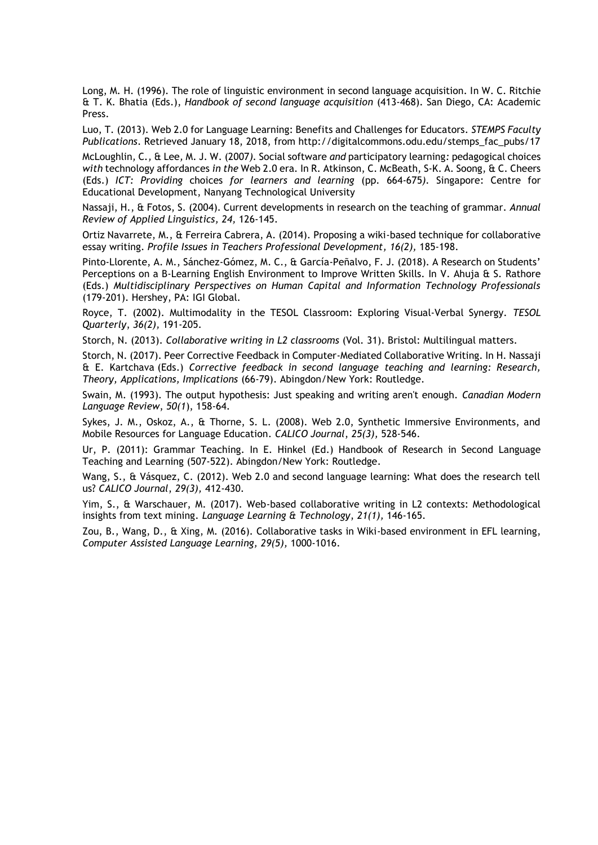Long, M. H. (1996). The role of linguistic environment in second language acquisition. In W. C. Ritchie & T. K. Bhatia (Eds.), *Handbook of second language acquisition* (413-468). San Diego, CA: Academic Press.

Luo, T. (2013). Web 2.0 for Language Learning: Benefits and Challenges for Educators. *STEMPS Faculty Publications*. Retrieved January 18, 2018, from http://digitalcommons.odu.edu/stemps\_fac\_pubs/17

McLoughlin*,* C*.,* & Lee*,* M. J. W. (2007*).* Social software *and* participatory learning*:* pedagogical choices *with* technology affordances *in the* Web 2.0 era*.* In R. Atkinson, C. McBeath, S-K. A. Soong, & C*.* Cheers (Eds.) *ICT: Providing* choices *for learners and learning* (pp*.* 664*-*675*).* Singapore: Centre for Educational Development, Nanyang Technological University

Nassaji, H., & Fotos, S. (2004). Current developments in research on the teaching of grammar. *Annual Review of Applied Linguistics, 24,* 126-145.

Ortiz Navarrete, M., & Ferreira Cabrera, A. (2014). Proposing a wiki-based technique for collaborative essay writing. *Profile Issues in Teachers Professional Development, 16(2),* 185-198.

Pinto-Llorente, A. M., Sánchez-Gómez, M. C., & García-Peñalvo, F. J. (2018). A Research on Students' Perceptions on a B-Learning English Environment to Improve Written Skills. In V. Ahuja & S. Rathore (Eds.) *Multidisciplinary Perspectives on Human Capital and Information Technology Professionals* (179-201). Hershey, PA: IGI Global.

Royce, T. (2002). Multimodality in the TESOL Classroom: Exploring Visual‐Verbal Synergy. *TESOL Quarterly*, *36(2),* 191-205.

Storch, N. (2013). *Collaborative writing in L2 classrooms* (Vol. 31). Bristol: Multilingual matters.

Storch, N. (2017). Peer Corrective Feedback in Computer-Mediated Collaborative Writing. In H. Nassaji & E. Kartchava (Eds.) *Corrective feedback in second language teaching and learning: Research, Theory, Applications, Implications* (66-79). Abingdon/New York: Routledge.

Swain, M. (1993). The output hypothesis: Just speaking and writing aren't enough. *Canadian Modern Language Review*, *50(1*), 158-64.

Sykes, J. M., Oskoz, A., & Thorne, S. L. (2008). Web 2.0, Synthetic Immersive Environments, and Mobile Resources for Language Education. *CALICO Journal*, *25(3),* 528-546.

Ur, P. (2011): Grammar Teaching. In E. Hinkel (Ed.) Handbook of Research in Second Language Teaching and Learning (507-522). Abingdon/New York: Routledge.

Wang, S., & Vásquez, C. (2012). Web 2.0 and second language learning: What does the research tell us? *CALICO Journal*, *29(3),* 412-430.

Yim, S., & Warschauer, M. (2017). Web-based collaborative writing in L2 contexts: Methodological insights from text mining. *Language Learning & Technology*, *21(1),* 146-165.

Zou, B., Wang, D., & Xing, M. (2016). Collaborative tasks in Wiki-based environment in EFL learning, *Computer Assisted Language Learning, 29(5),* 1000-1016.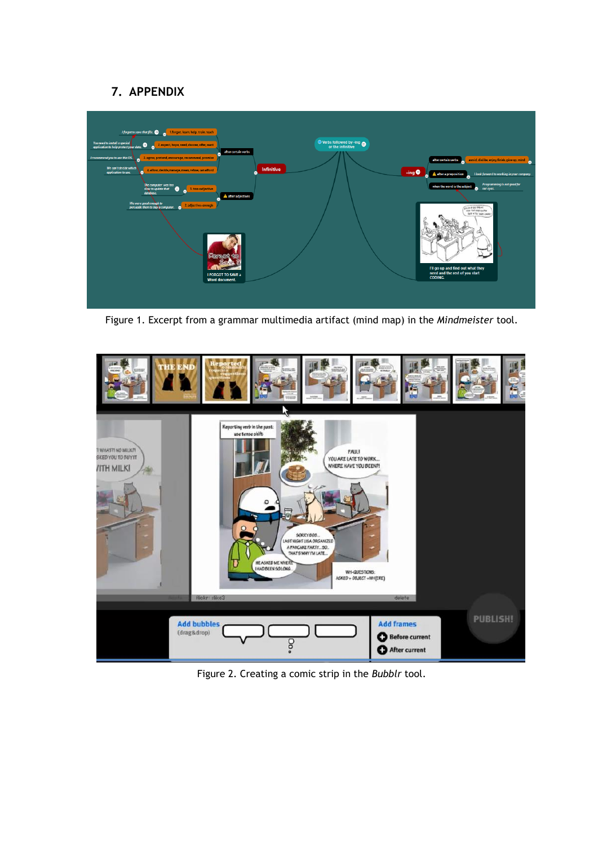# **7. APPENDIX**



Figure 1. Excerpt from a grammar multimedia artifact (mind map) in the *Mindmeister* tool.



Figure 2. Creating a comic strip in the *Bubblr* tool.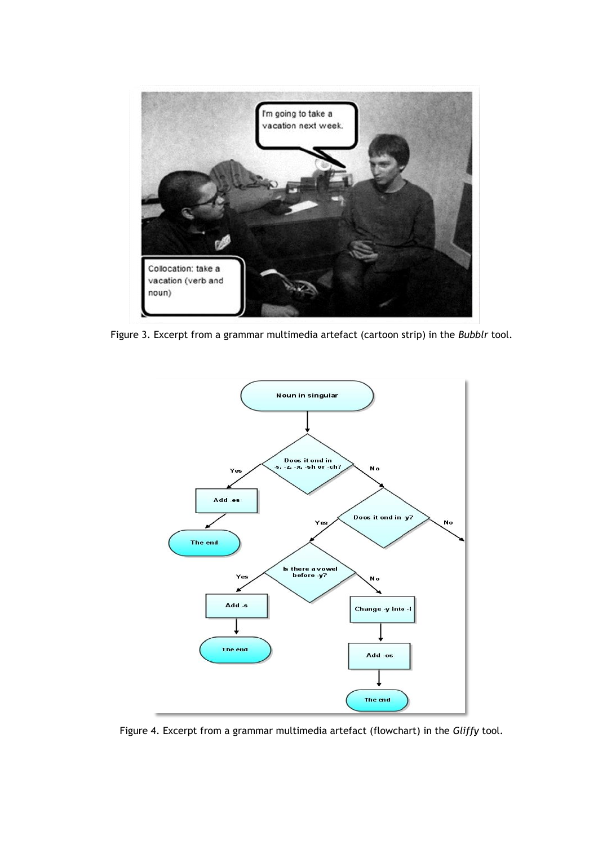

Figure 3. Excerpt from a grammar multimedia artefact (cartoon strip) in the *Bubblr* tool.



Figure 4. Excerpt from a grammar multimedia artefact (flowchart) in the *Gliffy* tool.